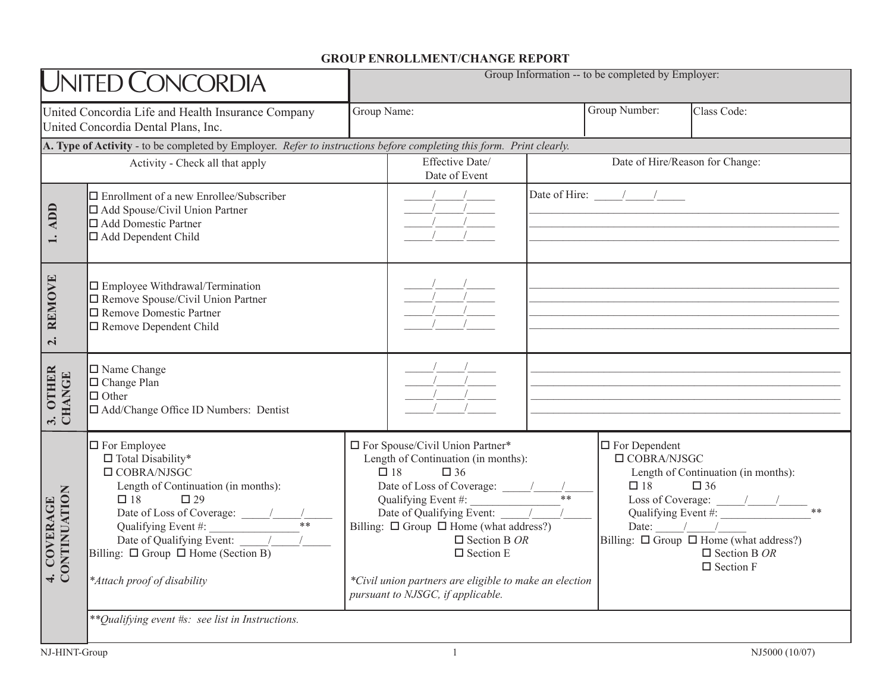## **GROUP ENROLLMENT/CHANGE REPORT**

| UNITED CONCORDIA                                                                          |                                                                                                                                                                                                                                                                   | Group Information -- to be completed by Employer:                                                                                                                                                                                                                                                                                                                                                           |                                                                                                                                                                                                                                                                                                                                                                                                                                                                                                 |                                                         |                                                                                                                                                                                                                                  |  |
|-------------------------------------------------------------------------------------------|-------------------------------------------------------------------------------------------------------------------------------------------------------------------------------------------------------------------------------------------------------------------|-------------------------------------------------------------------------------------------------------------------------------------------------------------------------------------------------------------------------------------------------------------------------------------------------------------------------------------------------------------------------------------------------------------|-------------------------------------------------------------------------------------------------------------------------------------------------------------------------------------------------------------------------------------------------------------------------------------------------------------------------------------------------------------------------------------------------------------------------------------------------------------------------------------------------|---------------------------------------------------------|----------------------------------------------------------------------------------------------------------------------------------------------------------------------------------------------------------------------------------|--|
| United Concordia Life and Health Insurance Company<br>United Concordia Dental Plans, Inc. |                                                                                                                                                                                                                                                                   | Group Name:                                                                                                                                                                                                                                                                                                                                                                                                 |                                                                                                                                                                                                                                                                                                                                                                                                                                                                                                 | Group Number:                                           | Class Code:                                                                                                                                                                                                                      |  |
|                                                                                           | A. Type of Activity - to be completed by Employer. Refer to instructions before completing this form. Print clearly.                                                                                                                                              |                                                                                                                                                                                                                                                                                                                                                                                                             |                                                                                                                                                                                                                                                                                                                                                                                                                                                                                                 |                                                         |                                                                                                                                                                                                                                  |  |
| Activity - Check all that apply                                                           |                                                                                                                                                                                                                                                                   |                                                                                                                                                                                                                                                                                                                                                                                                             | Effective Date/<br>Date of Hire/Reason for Change:<br>Date of Event                                                                                                                                                                                                                                                                                                                                                                                                                             |                                                         |                                                                                                                                                                                                                                  |  |
| <b>ADD</b>                                                                                | $\Box$ Enrollment of a new Enrollee/Subscriber<br>□ Add Spouse/Civil Union Partner<br>□ Add Domestic Partner<br>□ Add Dependent Child                                                                                                                             |                                                                                                                                                                                                                                                                                                                                                                                                             | $\begin{array}{c c c c} & - & / & - \\ \hline & - & / & - \\ \hline & - & / & - \\ \hline & - & / & - \\ \hline & - & / & - \\ \hline & - & / & - \\ \hline & - & / & - \\ \hline & - & / & - \\ \hline & - & / & - \\ \hline & - & / & - \\ \hline & - & / & - \\ \hline & - & / & - \\ \hline & - & / & - \\ \hline & - & / & - \\ \hline & - & / & - \\ \hline & - & / & - \\ \hline & - & / & - \\ \hline & - & / & - \\ \hline & - & / & - \\ \hline & - & / & - \\ \hline & - & / & - \\$ |                                                         | Date of Hire: $\frac{1}{\sqrt{1-\frac{1}{2}}}\left  \frac{1}{\sqrt{1-\frac{1}{2}}}\right $                                                                                                                                       |  |
| <b>REMOVE</b><br>$\overline{\mathbf{c}}$                                                  | □ Employee Withdrawal/Termination<br>□ Remove Spouse/Civil Union Partner<br>□ Remove Domestic Partner<br>Remove Dependent Child                                                                                                                                   |                                                                                                                                                                                                                                                                                                                                                                                                             | $\begin{array}{c c c c} & & & & & \\ \hline & & & & & \\ \hline & & & & & \\ \hline & & & & & \\ \hline & & & & & \\ \hline & & & & & \\ \hline & & & & & \\ \hline & & & & & \\ \hline & & & & & \\ \hline & & & & & \\ \hline & & & & & & \\ \hline & & & & & & \\ \hline & & & & & & \\ \hline & & & & & & & \\ \hline & & & & & & & \\ \hline & & & & & & & \\ \hline & & & & & & & \\ \hline & & & & & & & & \\ \hline & & & & & & & & \\ \hline & & & & & & & & \\ \hline & & & & & & &$  |                                                         |                                                                                                                                                                                                                                  |  |
| <b>OTHER</b><br><b>CHANGE</b><br>$\ddot{\bm{x}}$                                          | $\Box$ Name Change<br>□ Change Plan<br>$\Box$ Other<br>□ Add/Change Office ID Numbers: Dentist                                                                                                                                                                    |                                                                                                                                                                                                                                                                                                                                                                                                             | $\frac{1}{\frac{1}{1-\frac{1}{1-\frac{1}{1-\frac{1}{1-\frac{1}{1-\frac{1}{1-\frac{1}{1-\frac{1}{1-\frac{1}{1-\frac{1}{1-\frac{1}{1-\frac{1}{1-\frac{1}{1-\frac{1}{1-\frac{1}{1-\frac{1}{1-\frac{1}{1-\frac{1}{1-\frac{1}{1-\frac{1}{1-\frac{1}{1-\frac{1}{1-\frac{1}{1-\frac{1}{1-\frac{1}{1-\frac{1}{1-\frac{1}{1-\frac{1}{1-\frac{1}{1-\frac{1}{1-\frac{1}{1-\frac{1}{1-\frac{1}{1-\frac{1}{1-\frac{1}{1-\frac{1}{$                                                                           |                                                         |                                                                                                                                                                                                                                  |  |
| 4. COVERAGE<br>CONTINUATION                                                               | $\Box$ For Employee<br>$\Box$ Total Disability*<br>$\Box$ COBRA/NJSGC<br>Length of Continuation (in months):<br>$\Box$ 18<br>$\square$ 29<br>Date of Qualifying Event: $\sqrt{ }$<br>Billing: $\Box$ Group $\Box$ Home (Section B)<br>*Attach proof of disability | □ For Spouse/Civil Union Partner*<br>Length of Continuation (in months):<br>$\Box$ 18<br>$\Box$ 36<br>Date of Loss of Coverage: $\frac{1}{1 + x}$<br>Qualifying Event #:<br>Date of Qualifying Event: / /<br>Billing: $\Box$ Group $\Box$ Home (what address?)<br>$\Box$ Section B OR<br>$\square$ Section E<br>*Civil union partners are eligible to make an election<br>pursuant to NJSGC, if applicable. |                                                                                                                                                                                                                                                                                                                                                                                                                                                                                                 | $\Box$ For Dependent<br>$\Box$ COBRA/NJSGC<br>$\Box$ 18 | Length of Continuation (in months):<br>$\square$ 36<br>Loss of Coverage: $\frac{1}{2}$<br>Date: $\frac{1}{\sqrt{1-\frac{1}{2}}}$<br>Billing: $\Box$ Group $\Box$ Home (what address?)<br>$\Box$ Section B OR<br>$\Box$ Section F |  |
|                                                                                           | ** Qualifying event #s: see list in Instructions.                                                                                                                                                                                                                 |                                                                                                                                                                                                                                                                                                                                                                                                             |                                                                                                                                                                                                                                                                                                                                                                                                                                                                                                 |                                                         |                                                                                                                                                                                                                                  |  |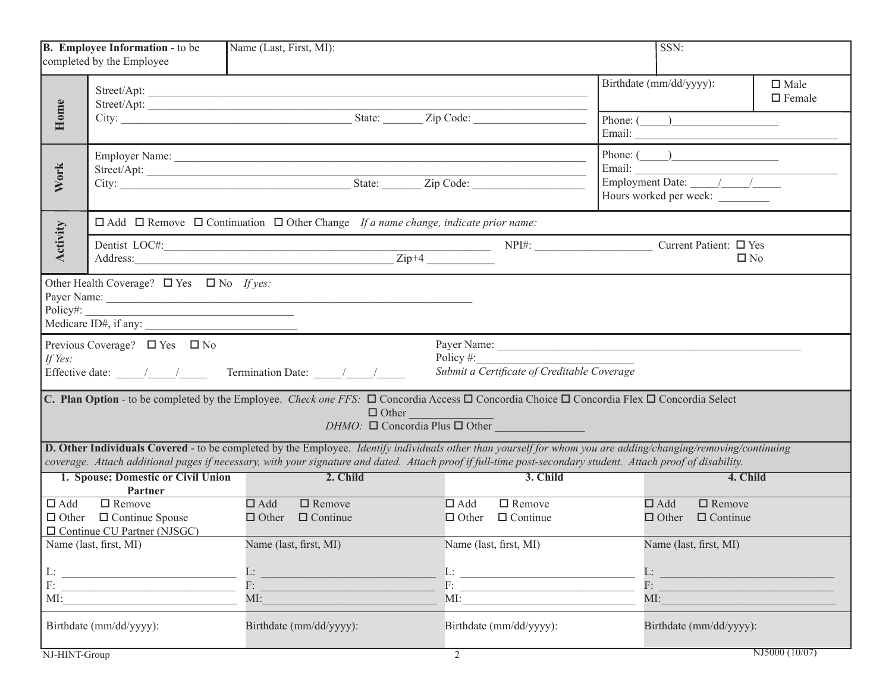|                                                                                                                                                                                                                                                                                                                                                  | B. Employee Information - to be<br>completed by the Employee                                                                                                                                                                                                                                                                                                                          | Name (Last, First, MI):                                                                                                                                                                                                                                                                                                                     |                                                                                                                                                                                                                                                                                                                                                                      |                            | SSN:                                                  |                                 |  |
|--------------------------------------------------------------------------------------------------------------------------------------------------------------------------------------------------------------------------------------------------------------------------------------------------------------------------------------------------|---------------------------------------------------------------------------------------------------------------------------------------------------------------------------------------------------------------------------------------------------------------------------------------------------------------------------------------------------------------------------------------|---------------------------------------------------------------------------------------------------------------------------------------------------------------------------------------------------------------------------------------------------------------------------------------------------------------------------------------------|----------------------------------------------------------------------------------------------------------------------------------------------------------------------------------------------------------------------------------------------------------------------------------------------------------------------------------------------------------------------|----------------------------|-------------------------------------------------------|---------------------------------|--|
| Home                                                                                                                                                                                                                                                                                                                                             |                                                                                                                                                                                                                                                                                                                                                                                       | Street/Apt:                                                                                                                                                                                                                                                                                                                                 |                                                                                                                                                                                                                                                                                                                                                                      | Birthdate (mm/dd/yyyy):    |                                                       | $\square$ Male<br>$\Box$ Female |  |
|                                                                                                                                                                                                                                                                                                                                                  |                                                                                                                                                                                                                                                                                                                                                                                       |                                                                                                                                                                                                                                                                                                                                             |                                                                                                                                                                                                                                                                                                                                                                      |                            | Phone: $\begin{pmatrix} 1 & 1 \\ 1 & 1 \end{pmatrix}$ |                                 |  |
| <b>Work</b>                                                                                                                                                                                                                                                                                                                                      |                                                                                                                                                                                                                                                                                                                                                                                       |                                                                                                                                                                                                                                                                                                                                             |                                                                                                                                                                                                                                                                                                                                                                      |                            | Phone: $\qquad \qquad$<br>Hours worked per week:      |                                 |  |
| □ Add □ Remove □ Continuation □ Other Change If a name change, indicate prior name:                                                                                                                                                                                                                                                              |                                                                                                                                                                                                                                                                                                                                                                                       |                                                                                                                                                                                                                                                                                                                                             |                                                                                                                                                                                                                                                                                                                                                                      |                            |                                                       |                                 |  |
| Activity                                                                                                                                                                                                                                                                                                                                         |                                                                                                                                                                                                                                                                                                                                                                                       | Address: <u>Zip+4</u>                                                                                                                                                                                                                                                                                                                       |                                                                                                                                                                                                                                                                                                                                                                      |                            | Current Patient: □ Yes<br>$\square$ No                |                                 |  |
| Policy#:<br><u> 1980 - Jan Samuel Barbara, margaret eta idazlea (h. 1980).</u><br>Medicare ID#, if any:<br>Previous Coverage? $\Box$ Yes $\Box$ No<br>Policy $#$ :<br>If Yes:<br>Submit a Certificate of Creditable Coverage                                                                                                                     |                                                                                                                                                                                                                                                                                                                                                                                       |                                                                                                                                                                                                                                                                                                                                             |                                                                                                                                                                                                                                                                                                                                                                      |                            |                                                       |                                 |  |
| Effective date: $\frac{1}{\sqrt{1-\frac{1}{2}}}$ Termination Date: $\frac{1}{\sqrt{1-\frac{1}{2}}}$<br><b>C. Plan Option</b> - to be completed by the Employee. <i>Check one FFS</i> : $\Box$ Concordia Access $\Box$ Concordia Choice $\Box$ Concordia Flex $\Box$ Concordia Select<br>$\Box$ Other<br>$DHMO: \Box$ Concordia Plus $\Box$ Other |                                                                                                                                                                                                                                                                                                                                                                                       |                                                                                                                                                                                                                                                                                                                                             |                                                                                                                                                                                                                                                                                                                                                                      |                            |                                                       |                                 |  |
|                                                                                                                                                                                                                                                                                                                                                  |                                                                                                                                                                                                                                                                                                                                                                                       | <b>D. Other Individuals Covered</b> - to be completed by the Employee. <i>Identify individuals other than yourself for whom you are adding/changing/removing/continuing</i><br>coverage. Attach additional pages if necessary, with your signature and dated. Attach proof if full-time post-secondary student. Attach proof of disability. |                                                                                                                                                                                                                                                                                                                                                                      |                            |                                                       |                                 |  |
|                                                                                                                                                                                                                                                                                                                                                  | 1. Spouse; Domestic or Civil Union<br>Partner                                                                                                                                                                                                                                                                                                                                         | 2. Child                                                                                                                                                                                                                                                                                                                                    | 3. Child                                                                                                                                                                                                                                                                                                                                                             |                            | 4. Child                                              |                                 |  |
| $\Box$ Add                                                                                                                                                                                                                                                                                                                                       | $\Box$ Remove<br>$\Box$ Other $\Box$ Continue Spouse<br>$\Box$ Continue CU Partner (NJSGC)                                                                                                                                                                                                                                                                                            | $\Box$ Remove<br>$\Box$ Add<br>$\Box$ Other<br>$\Box$ Continue                                                                                                                                                                                                                                                                              | $\Box$ Add<br>$\Box$ Remove<br>$\Box$ Continue<br>$\Box$ Other                                                                                                                                                                                                                                                                                                       | $\Box$ Add<br>$\Box$ Other | $\Box$ Remove<br>$\Box$ Continue                      |                                 |  |
|                                                                                                                                                                                                                                                                                                                                                  | Name (last, first, MI)                                                                                                                                                                                                                                                                                                                                                                | Name (last, first, MI)                                                                                                                                                                                                                                                                                                                      | Name (last, first, MI)                                                                                                                                                                                                                                                                                                                                               |                            | Name (last, first, MI)                                |                                 |  |
|                                                                                                                                                                                                                                                                                                                                                  | $\begin{tabular}{ c c c } \hline L: & \hspace*{2.5cm} & \hspace*{2.5cm} & \hspace*{2.5cm} & \hspace*{2.5cm} & \hspace*{2.5cm} & \hspace*{2.5cm} & \hspace*{2.5cm} & \hspace*{2.5cm} & \hspace*{2.5cm} & \hspace*{2.5cm} & \hspace*{2.5cm} & \hspace*{2.5cm} & \hspace*{2.5cm} & \hspace*{2.5cm} & \hspace*{2.5cm} & \hspace*{2.5cm} & \hspace*{2.5cm} & \hspace*{2.5cm} & \hs$<br>MI: | $F$ :<br>MI:                                                                                                                                                                                                                                                                                                                                | $\mathbf{L}$ :<br>$F:$ $\qquad \qquad$ $\qquad$ $\qquad$ $\qquad$ $\qquad$ $\qquad$ $\qquad$ $\qquad$ $\qquad$ $\qquad$ $\qquad$ $\qquad$ $\qquad$ $\qquad$ $\qquad$ $\qquad$ $\qquad$ $\qquad$ $\qquad$ $\qquad$ $\qquad$ $\qquad$ $\qquad$ $\qquad$ $\qquad$ $\qquad$ $\qquad$ $\qquad$ $\qquad$ $\qquad$ $\qquad$ $\qquad$ $\qquad$ $\qquad$ $\qquad$ $\q$<br>MI: | L:<br>$F:$ $\Box$<br>MI:   |                                                       |                                 |  |
|                                                                                                                                                                                                                                                                                                                                                  | Birthdate (mm/dd/yyyy):                                                                                                                                                                                                                                                                                                                                                               | Birthdate (mm/dd/yyyy):                                                                                                                                                                                                                                                                                                                     | Birthdate (mm/dd/yyyy):                                                                                                                                                                                                                                                                                                                                              |                            | Birthdate (mm/dd/yyyy):                               |                                 |  |
| NJ-HINT-Group                                                                                                                                                                                                                                                                                                                                    |                                                                                                                                                                                                                                                                                                                                                                                       |                                                                                                                                                                                                                                                                                                                                             | $\overline{2}$                                                                                                                                                                                                                                                                                                                                                       |                            |                                                       | NJ5000 (10/07)                  |  |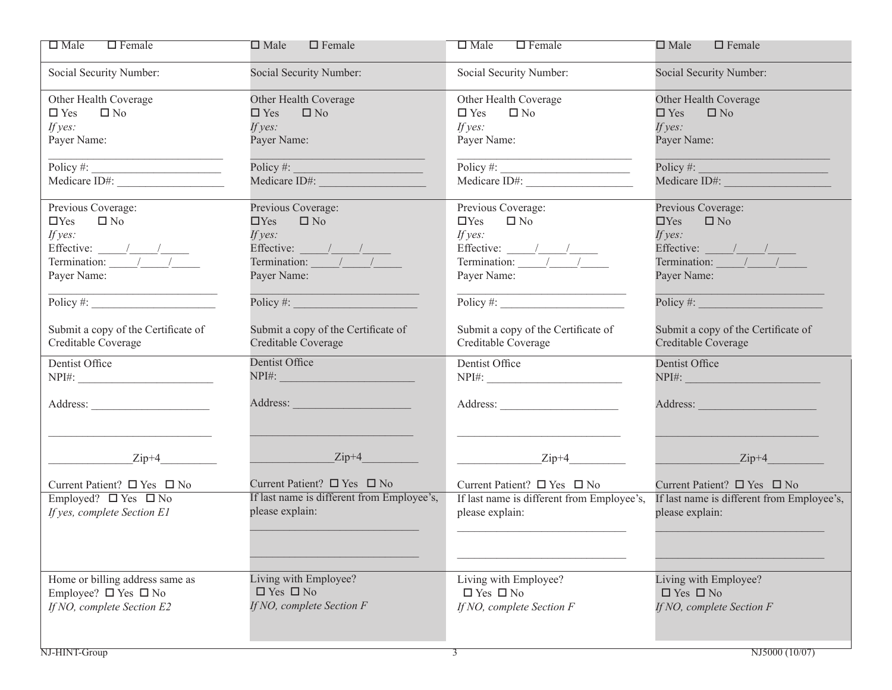| $\square$ Male<br>$\Box$ Female                                                                                                                                                                                                                                                                                                                                                                                | $\Box$ Female<br>$\square$ Male                                                                                                                                                                                                                                                                                                                                                                                | $\square$ Male<br>$\Box$ Female                                                                              | $\Box$ Female<br>$\square$ Male                                                                                                                                                                                                                                                                                                                                                                                |
|----------------------------------------------------------------------------------------------------------------------------------------------------------------------------------------------------------------------------------------------------------------------------------------------------------------------------------------------------------------------------------------------------------------|----------------------------------------------------------------------------------------------------------------------------------------------------------------------------------------------------------------------------------------------------------------------------------------------------------------------------------------------------------------------------------------------------------------|--------------------------------------------------------------------------------------------------------------|----------------------------------------------------------------------------------------------------------------------------------------------------------------------------------------------------------------------------------------------------------------------------------------------------------------------------------------------------------------------------------------------------------------|
| Social Security Number:                                                                                                                                                                                                                                                                                                                                                                                        | Social Security Number:                                                                                                                                                                                                                                                                                                                                                                                        | Social Security Number:                                                                                      | Social Security Number:                                                                                                                                                                                                                                                                                                                                                                                        |
| Other Health Coverage                                                                                                                                                                                                                                                                                                                                                                                          | Other Health Coverage                                                                                                                                                                                                                                                                                                                                                                                          | Other Health Coverage                                                                                        | Other Health Coverage                                                                                                                                                                                                                                                                                                                                                                                          |
| $\square$ No<br>$\Box$ Yes                                                                                                                                                                                                                                                                                                                                                                                     | $\square$ Yes<br>$\square$ No                                                                                                                                                                                                                                                                                                                                                                                  | $\square$ Yes<br>$\square$ No                                                                                | $\square$ Yes<br>$\square$ No                                                                                                                                                                                                                                                                                                                                                                                  |
| If $yes:$                                                                                                                                                                                                                                                                                                                                                                                                      | If $yes:$                                                                                                                                                                                                                                                                                                                                                                                                      | If $yes:$                                                                                                    | If $yes:$                                                                                                                                                                                                                                                                                                                                                                                                      |
| Payer Name:                                                                                                                                                                                                                                                                                                                                                                                                    | Payer Name:                                                                                                                                                                                                                                                                                                                                                                                                    | Payer Name:                                                                                                  | Payer Name:                                                                                                                                                                                                                                                                                                                                                                                                    |
|                                                                                                                                                                                                                                                                                                                                                                                                                | Policy $\#$ :                                                                                                                                                                                                                                                                                                                                                                                                  | $\overline{\text{Policy}}$ #: $\overline{\qquad \qquad }$                                                    | $Policy \#$ :                                                                                                                                                                                                                                                                                                                                                                                                  |
| Medicare ID#:                                                                                                                                                                                                                                                                                                                                                                                                  | Medicare ID#: and the state of the state of the state of the state of the state of the state of the state of the state of the state of the state of the state of the state of the state of the state of the state of the state                                                                                                                                                                                 | Medicare ID#:                                                                                                | Medicare ID#: All and the Contract of the Contract of the Contract of the Contract of the Contract of the Contract of the Contract of the Contract of the Contract of the Contract of the Contract of the Contract of the Cont                                                                                                                                                                                 |
| Previous Coverage:                                                                                                                                                                                                                                                                                                                                                                                             | Previous Coverage:                                                                                                                                                                                                                                                                                                                                                                                             | Previous Coverage:                                                                                           | Previous Coverage:                                                                                                                                                                                                                                                                                                                                                                                             |
| $\square$ No<br>$\Box$ Yes                                                                                                                                                                                                                                                                                                                                                                                     | $\square$ No<br>$\Box$ Yes                                                                                                                                                                                                                                                                                                                                                                                     | $\Box$ Yes<br>$\square$ No                                                                                   | $\Box$ Yes<br>$\square$ No                                                                                                                                                                                                                                                                                                                                                                                     |
| If $yes:$                                                                                                                                                                                                                                                                                                                                                                                                      | If $yes:$                                                                                                                                                                                                                                                                                                                                                                                                      | If $yes:$                                                                                                    | If yes:                                                                                                                                                                                                                                                                                                                                                                                                        |
| Effective: $\frac{1}{\sqrt{1-\frac{1}{1-\frac{1}{1-\frac{1}{1-\frac{1}{1-\frac{1}{1-\frac{1}{1-\frac{1}{1-\frac{1}{1-\frac{1}{1-\frac{1}{1-\frac{1}{1-\frac{1}{1-\frac{1}{1-\frac{1}{1-\frac{1}{1-\frac{1}{1-\frac{1}{1-\frac{1}{1-\frac{1}{1-\frac{1}{1-\frac{1}{1-\frac{1}{1-\frac{1}{1-\frac{1}{1-\frac{1}{1-\frac{1}{1-\frac{1}{1-\frac{1}{1-\frac{1}{1-\frac{1}{1-\frac{1}{1-\frac{1}{1-\frac{1}{1-\frac$ | Effective: $\frac{1}{\sqrt{1-\frac{1}{1-\frac{1}{1-\frac{1}{1-\frac{1}{1-\frac{1}{1-\frac{1}{1-\frac{1}{1-\frac{1}{1-\frac{1}{1-\frac{1}{1-\frac{1}{1-\frac{1}{1-\frac{1}{1-\frac{1}{1-\frac{1}{1-\frac{1}{1-\frac{1}{1-\frac{1}{1-\frac{1}{1-\frac{1}{1-\frac{1}{1-\frac{1}{1-\frac{1}{1-\frac{1}{1-\frac{1}{1-\frac{1}{1-\frac{1}{1-\frac{1}{1-\frac{1}{1-\frac{1}{1-\frac{1}{1-\frac{1}{1-\frac{1}{1-\frac$ | Effective: $\frac{1}{\frac{1}{\frac{1}{2}}\frac{1}{\frac{1}{2}}\frac{1}{\frac{1}{2}}\frac{1}{\frac{1}{2}}}}$ | Effective: $\frac{1}{\sqrt{1-\frac{1}{1-\frac{1}{1-\frac{1}{1-\frac{1}{1-\frac{1}{1-\frac{1}{1-\frac{1}{1-\frac{1}{1-\frac{1}{1-\frac{1}{1-\frac{1}{1-\frac{1}{1-\frac{1}{1-\frac{1}{1-\frac{1}{1-\frac{1}{1-\frac{1}{1-\frac{1}{1-\frac{1}{1-\frac{1}{1-\frac{1}{1-\frac{1}{1-\frac{1}{1-\frac{1}{1-\frac{1}{1-\frac{1}{1-\frac{1}{1-\frac{1}{1-\frac{1}{1-\frac{1}{1-\frac{1}{1-\frac{1}{1-\frac{1}{1-\frac$ |
|                                                                                                                                                                                                                                                                                                                                                                                                                |                                                                                                                                                                                                                                                                                                                                                                                                                |                                                                                                              |                                                                                                                                                                                                                                                                                                                                                                                                                |
| Payer Name:                                                                                                                                                                                                                                                                                                                                                                                                    | Payer Name:                                                                                                                                                                                                                                                                                                                                                                                                    | Payer Name:                                                                                                  | Payer Name:                                                                                                                                                                                                                                                                                                                                                                                                    |
| Policy #: $\qquad \qquad$                                                                                                                                                                                                                                                                                                                                                                                      | $Policy \#$                                                                                                                                                                                                                                                                                                                                                                                                    | $\overline{\text{Policy}\#}\text{:}$                                                                         | Policy #:                                                                                                                                                                                                                                                                                                                                                                                                      |
| Submit a copy of the Certificate of                                                                                                                                                                                                                                                                                                                                                                            | Submit a copy of the Certificate of                                                                                                                                                                                                                                                                                                                                                                            | Submit a copy of the Certificate of                                                                          | Submit a copy of the Certificate of                                                                                                                                                                                                                                                                                                                                                                            |
| Creditable Coverage                                                                                                                                                                                                                                                                                                                                                                                            | Creditable Coverage                                                                                                                                                                                                                                                                                                                                                                                            | Creditable Coverage                                                                                          | Creditable Coverage                                                                                                                                                                                                                                                                                                                                                                                            |
| Dentist Office                                                                                                                                                                                                                                                                                                                                                                                                 | Dentist Office                                                                                                                                                                                                                                                                                                                                                                                                 | Dentist Office                                                                                               | Dentist Office                                                                                                                                                                                                                                                                                                                                                                                                 |
|                                                                                                                                                                                                                                                                                                                                                                                                                | NPI#: NPI#:                                                                                                                                                                                                                                                                                                                                                                                                    |                                                                                                              | $NPI#$ :                                                                                                                                                                                                                                                                                                                                                                                                       |
| Address: No. 1998.                                                                                                                                                                                                                                                                                                                                                                                             | Address: and the contract of the contract of the contract of the contract of the contract of the contract of the contract of the contract of the contract of the contract of the contract of the contract of the contract of t                                                                                                                                                                                 | Address: No. 1996                                                                                            | Address:                                                                                                                                                                                                                                                                                                                                                                                                       |
|                                                                                                                                                                                                                                                                                                                                                                                                                |                                                                                                                                                                                                                                                                                                                                                                                                                |                                                                                                              |                                                                                                                                                                                                                                                                                                                                                                                                                |
| $Zip+4$                                                                                                                                                                                                                                                                                                                                                                                                        | $Zip+4$                                                                                                                                                                                                                                                                                                                                                                                                        | $Zip+4$                                                                                                      | $Zip+4$                                                                                                                                                                                                                                                                                                                                                                                                        |
| Current Patient? $\square$ Yes $\square$ No                                                                                                                                                                                                                                                                                                                                                                    | Current Patient? $\Box$ Yes $\Box$ No                                                                                                                                                                                                                                                                                                                                                                          | Current Patient? $\square$ Yes $\square$ No                                                                  | Current Patient? $\square$ Yes $\square$ No                                                                                                                                                                                                                                                                                                                                                                    |
| Employed? $\Box$ Yes $\Box$ No                                                                                                                                                                                                                                                                                                                                                                                 | If last name is different from Employee's,                                                                                                                                                                                                                                                                                                                                                                     | If last name is different from Employee's,                                                                   | If last name is different from Employee's,                                                                                                                                                                                                                                                                                                                                                                     |
| If yes, complete Section E1                                                                                                                                                                                                                                                                                                                                                                                    | please explain:                                                                                                                                                                                                                                                                                                                                                                                                | please explain:                                                                                              | please explain:                                                                                                                                                                                                                                                                                                                                                                                                |
|                                                                                                                                                                                                                                                                                                                                                                                                                |                                                                                                                                                                                                                                                                                                                                                                                                                |                                                                                                              |                                                                                                                                                                                                                                                                                                                                                                                                                |
|                                                                                                                                                                                                                                                                                                                                                                                                                |                                                                                                                                                                                                                                                                                                                                                                                                                |                                                                                                              |                                                                                                                                                                                                                                                                                                                                                                                                                |
|                                                                                                                                                                                                                                                                                                                                                                                                                |                                                                                                                                                                                                                                                                                                                                                                                                                |                                                                                                              |                                                                                                                                                                                                                                                                                                                                                                                                                |
| Home or billing address same as                                                                                                                                                                                                                                                                                                                                                                                | Living with Employee?                                                                                                                                                                                                                                                                                                                                                                                          | Living with Employee?                                                                                        | Living with Employee?                                                                                                                                                                                                                                                                                                                                                                                          |
| Employee? $\Box$ Yes $\Box$ No                                                                                                                                                                                                                                                                                                                                                                                 | $\Box$ Yes $\Box$ No                                                                                                                                                                                                                                                                                                                                                                                           | $\Box$ Yes $\Box$ No                                                                                         | $\Box$ Yes $\Box$ No                                                                                                                                                                                                                                                                                                                                                                                           |
| If NO, complete Section E2                                                                                                                                                                                                                                                                                                                                                                                     | If NO, complete Section F                                                                                                                                                                                                                                                                                                                                                                                      | If NO, complete Section F                                                                                    | If NO, complete Section F                                                                                                                                                                                                                                                                                                                                                                                      |
|                                                                                                                                                                                                                                                                                                                                                                                                                |                                                                                                                                                                                                                                                                                                                                                                                                                |                                                                                                              |                                                                                                                                                                                                                                                                                                                                                                                                                |
|                                                                                                                                                                                                                                                                                                                                                                                                                |                                                                                                                                                                                                                                                                                                                                                                                                                |                                                                                                              |                                                                                                                                                                                                                                                                                                                                                                                                                |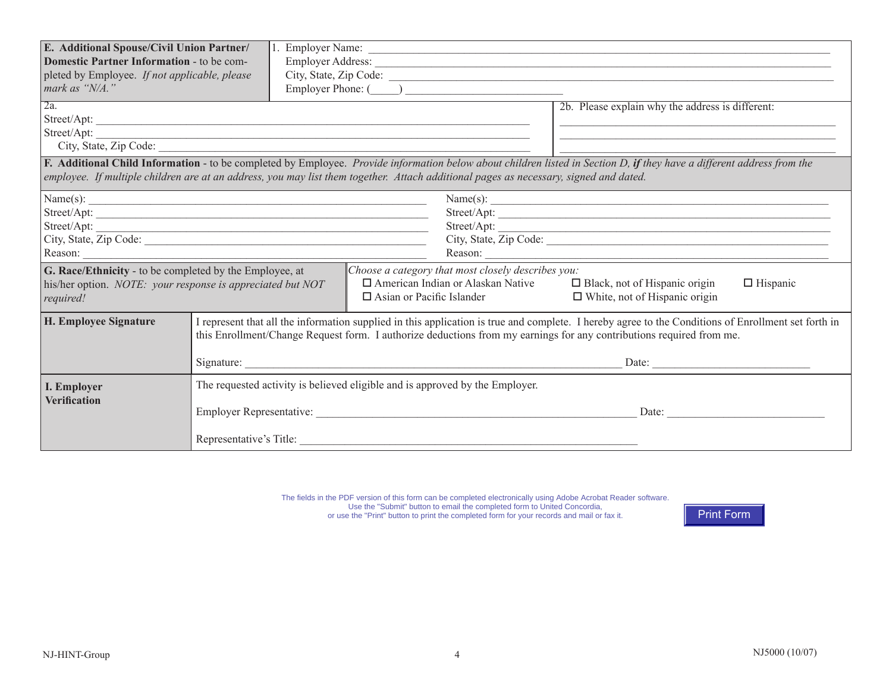| E. Additional Spouse/Civil Union Partner/<br>Domestic Partner Information - to be com-<br>pleted by Employee. If not applicable, please<br>mark as "N/A."                                                                                                                                                       |                                                                                                                                                                                                                                                                             |                                                                                                                                                                                                                                       | Employer Address: <u>New York: Water and State and State and State and State and State and State and State and State and State and State and State and State and State and State and State and State and State and State and Sta</u> |  |  |  |
|-----------------------------------------------------------------------------------------------------------------------------------------------------------------------------------------------------------------------------------------------------------------------------------------------------------------|-----------------------------------------------------------------------------------------------------------------------------------------------------------------------------------------------------------------------------------------------------------------------------|---------------------------------------------------------------------------------------------------------------------------------------------------------------------------------------------------------------------------------------|--------------------------------------------------------------------------------------------------------------------------------------------------------------------------------------------------------------------------------------|--|--|--|
| 2a.                                                                                                                                                                                                                                                                                                             |                                                                                                                                                                                                                                                                             | Street/Apt:<br>Street/Apt:                                                                                                                                                                                                            | 2b. Please explain why the address is different:                                                                                                                                                                                     |  |  |  |
| F. Additional Child Information - to be completed by Employee. Provide information below about children listed in Section D, if they have a different address from the<br>employee. If multiple children are at an address, you may list them together. Attach additional pages as necessary, signed and dated. |                                                                                                                                                                                                                                                                             |                                                                                                                                                                                                                                       |                                                                                                                                                                                                                                      |  |  |  |
| Name(s):<br>Name(s): $\qquad \qquad$<br>Street/Apt:<br>Street/Apt:<br>Street/Apt:<br>Street/Apt:<br>Reason:<br>Reason:                                                                                                                                                                                          |                                                                                                                                                                                                                                                                             |                                                                                                                                                                                                                                       |                                                                                                                                                                                                                                      |  |  |  |
| G. Race/Ethnicity - to be completed by the Employee, at<br>his/her option. NOTE: your response is appreciated but NOT<br>required!                                                                                                                                                                              |                                                                                                                                                                                                                                                                             | Choose a category that most closely describes you:<br>$\Box$ American Indian or Alaskan Native<br>$\Box$ Black, not of Hispanic origin<br>$\Box$ Hispanic<br>$\Box$ Asian or Pacific Islander<br>$\Box$ White, not of Hispanic origin |                                                                                                                                                                                                                                      |  |  |  |
| H. Employee Signature                                                                                                                                                                                                                                                                                           | I represent that all the information supplied in this application is true and complete. I hereby agree to the Conditions of Enrollment set forth in<br>this Enrollment/Change Request form. I authorize deductions from my earnings for any contributions required from me. |                                                                                                                                                                                                                                       |                                                                                                                                                                                                                                      |  |  |  |
|                                                                                                                                                                                                                                                                                                                 |                                                                                                                                                                                                                                                                             |                                                                                                                                                                                                                                       | $\text{Date:}$                                                                                                                                                                                                                       |  |  |  |
| I. Employer<br><b>Verification</b>                                                                                                                                                                                                                                                                              |                                                                                                                                                                                                                                                                             | The requested activity is believed eligible and is approved by the Employer.                                                                                                                                                          | Date:                                                                                                                                                                                                                                |  |  |  |

The fields in the PDF version of this form can be completed electronically using Adobe Acrobat Reader software. Use the "Submit" button to email the completed form to United Concordia, or use the "Print" button to print the completed form for your records and mail or fax it.

Print Form